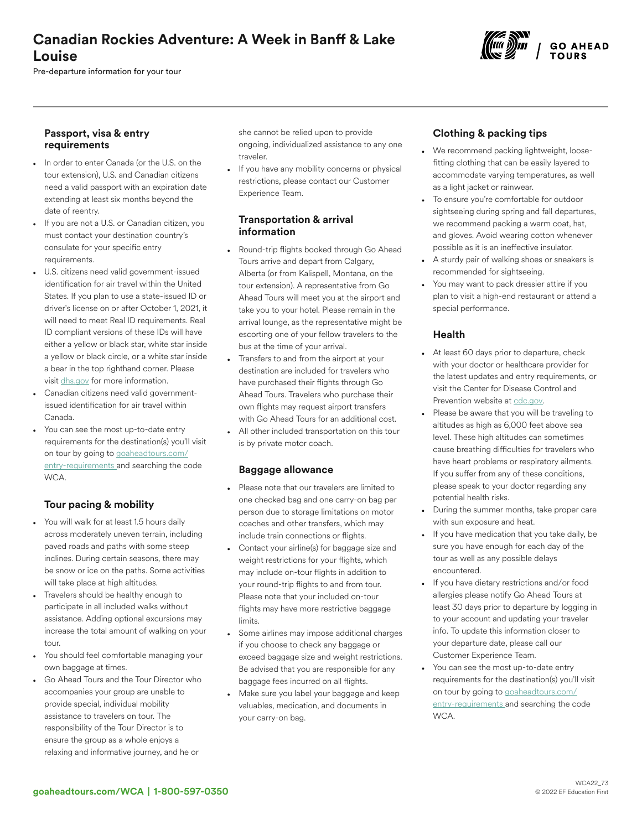# Canadian Rockies Adventure: A Week in Banff & Lake Louise

Pre-departure information for your tour



### Passport, visa & entry requirements

- In order to enter Canada (or the U.S. on the tour extension), U.S. and Canadian citizens need a valid passport with an expiration date extending at least six months beyond the date of reentry.
- If you are not a U.S. or Canadian citizen, you must contact your destination country's consulate for your specific entry requirements.
- U.S. citizens need valid government-issued identification for air travel within the United States. If you plan to use a state-issued ID or driver's license on or after October 1, 2021, it will need to meet Real ID requirements. Real ID compliant versions of these IDs will have either a yellow or black star, white star inside a yellow or black circle, or a white star inside a bear in the top righthand corner. Please visit [dhs.gov](https://www.dhs.gov/real-id-frequently-asked-questions) for more information.
- Canadian citizens need valid governmentissued identification for air travel within Canada.
- You can see the most up-to-date entry requirements for the destination(s) you'll visit on tour by going to [goaheadtours.com/](/entry-requirements?tourCode=WCA) [entry-requirements](/entry-requirements?tourCode=WCA) and searching the code WCA.

## Tour pacing & mobility

- You will walk for at least 1.5 hours daily across moderately uneven terrain, including paved roads and paths with some steep inclines. During certain seasons, there may be snow or ice on the paths. Some activities will take place at high altitudes.
- Travelers should be healthy enough to participate in all included walks without assistance. Adding optional excursions may increase the total amount of walking on your tour.
- You should feel comfortable managing your own baggage at times.
- Go Ahead Tours and the Tour Director who accompanies your group are unable to provide special, individual mobility assistance to travelers on tour. The responsibility of the Tour Director is to ensure the group as a whole enjoys a relaxing and informative journey, and he or

she cannot be relied upon to provide ongoing, individualized assistance to any one traveler.

If you have any mobility concerns or physical restrictions, please contact our Customer Experience Team.

## Transportation & arrival information

- Round-trip flights booked through Go Ahead Tours arrive and depart from Calgary, Alberta (or from Kalispell, Montana, on the tour extension). A representative from Go Ahead Tours will meet you at the airport and take you to your hotel. Please remain in the arrival lounge, as the representative might be escorting one of your fellow travelers to the bus at the time of your arrival.
- Transfers to and from the airport at your destination are included for travelers who have purchased their flights through Go Ahead Tours. Travelers who purchase their own flights may request airport transfers with Go Ahead Tours for an additional cost. All other included transportation on this tour is by private motor coach.

#### Baggage allowance

- Please note that our travelers are limited to one checked bag and one carry-on bag per person due to storage limitations on motor coaches and other transfers, which may include train connections or flights.
- Contact your airline(s) for baggage size and weight restrictions for your flights, which may include on-tour flights in addition to your round-trip flights to and from tour. Please note that your included on-tour flights may have more restrictive baggage limits.
- Some airlines may impose additional charges if you choose to check any baggage or exceed baggage size and weight restrictions. Be advised that you are responsible for any baggage fees incurred on all flights.
- Make sure you label your baggage and keep valuables, medication, and documents in your carry-on bag.

# Clothing & packing tips

- We recommend packing lightweight, loosefitting clothing that can be easily layered to accommodate varying temperatures, as well as a light jacket or rainwear.
- To ensure you're comfortable for outdoor sightseeing during spring and fall departures, we recommend packing a warm coat, hat, and gloves. Avoid wearing cotton whenever possible as it is an ineffective insulator.
- A sturdy pair of walking shoes or sneakers is recommended for sightseeing.
- You may want to pack dressier attire if you plan to visit a high-end restaurant or attend a special performance.

## Health

- At least 60 days prior to departure, check with your doctor or healthcare provider for the latest updates and entry requirements, or visit the Center for Disease Control and Prevention website at [cdc.gov.](https://www.cdc.gov/)
- Please be aware that you will be traveling to altitudes as high as 6,000 feet above sea level. These high altitudes can sometimes cause breathing difficulties for travelers who have heart problems or respiratory ailments. If you suffer from any of these conditions, please speak to your doctor regarding any potential health risks.
- During the summer months, take proper care with sun exposure and heat.
- If you have medication that you take daily, be sure you have enough for each day of the tour as well as any possible delays encountered.
- If you have dietary restrictions and/or food allergies please notify Go Ahead Tours at least 30 days prior to departure by logging in to your account and updating your traveler info. To update this information closer to your departure date, please call our Customer Experience Team.
- You can see the most up-to-date entry requirements for the destination(s) you'll visit on tour by going to [goaheadtours.com/](/entry-requirements?tourCode=WCA) [entry-requirements](/entry-requirements?tourCode=WCA) and searching the code WCA.